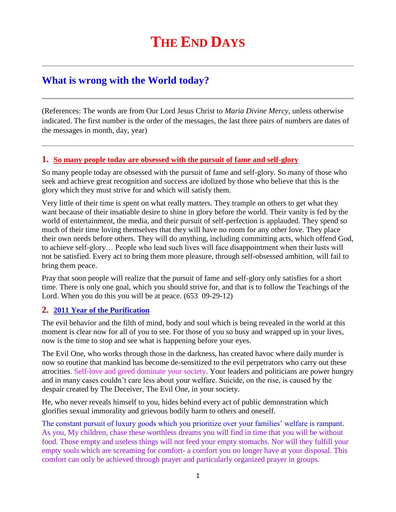# **What is wrong with the World today?**

(References: The words are from Our Lord Jesus Christ to *Maria Divine Mercy*, unless otherwise indicated. The first number is the order of the messages, the last three pairs of numbers are dates of the messages in month, day, year)

## **1. [So many people today are obsessed with the pursuit of fame and self-glory](http://www.thewarningsecondcoming.com/so-many-people-today-are-obsessed-with-the-pursuit-of-fame-and-self-glory/)**

So many people today are obsessed with the pursuit of fame and self-glory. So many of those who seek and achieve great recognition and success are idolized by those who believe that this is the glory which they must strive for and which will satisfy them.

Very little of their time is spent on what really matters. They trample on others to get what they want because of their insatiable desire to shine in glory before the world. Their vanity is fed by the world of entertainment, the media, and their pursuit of self-perfection is applauded. They spend so much of their time loving themselves that they will have no room for any other love. They place their own needs before others. They will do anything, including committing acts, which offend God, to achieve self-glory… People who lead such lives will face disappointment when their lusts will not be satisfied. Every act to bring them more pleasure, through self-obsessed ambition, will fail to bring them peace.

Pray that soon people will realize that the pursuit of fame and self-glory only satisfies for a short time. There is only one goal, which you should strive for, and that is to follow the Teachings of the Lord. When you do this you will be at peace. (653 09-29-12)

## **2. [2011 Year of the Purification](http://www.thewarningsecondcoming.com/2011-year-of-the-purification/)**

The evil behavior and the filth of mind, body and soul which is being revealed in the world at this moment is clear now for all of you to see. For those of you so busy and wrapped up in your lives, now is the time to stop and see what is happening before your eyes.

The Evil One, who works through those in the darkness, has created havoc where daily murder is now so routine that mankind has become de-sensitized to the evil perpetrators who carry out these atrocities. Self-love and greed dominate your society. Your leaders and politicians are power hungry and in many cases couldn't care less about your welfare. Suicide, on the rise, is caused by the despair created by The Deceiver, The Evil One, in your society.

He, who never reveals himself to you, hides behind every act of public demonstration which glorifies sexual immorality and grievous bodily harm to others and oneself.

The constant pursuit of luxury goods which you prioritize over your families' welfare is rampant. As you, My children, chase these worthless dreams you will find in time that you will be without food. Those empty and useless things will not feed your empty stomachs. Nor will they fulfill your empty souls which are screaming for comfort- a comfort you no longer have at your disposal. This comfort can only be achieved through prayer and particularly organized prayer in groups.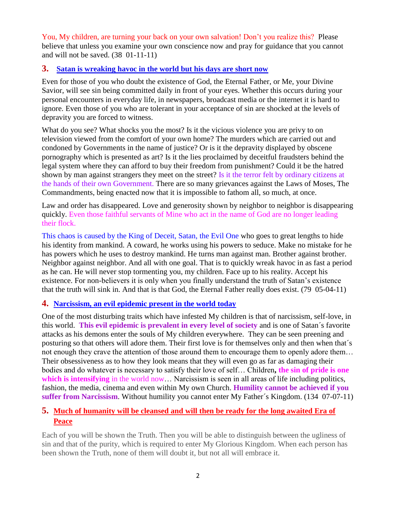You, My children, are turning your back on your own salvation! Don't you realize this? Please believe that unless you examine your own conscience now and pray for guidance that you cannot and will not be saved. (38 01-11-11)

## **3. [Satan is wreaking havoc in the world but his days are short now](http://www.thewarningsecondcoming.com/satan-is-wrecking-havoc-in-the-world-but-his-days-are-short-now/)**

Even for those of you who doubt the existence of God, the Eternal Father, or Me, your Divine Savior, will see sin being committed daily in front of your eyes. Whether this occurs during your personal encounters in everyday life, in newspapers, broadcast media or the internet it is hard to ignore. Even those of you who are tolerant in your acceptance of sin are shocked at the levels of depravity you are forced to witness.

What do you see? What shocks you the most? Is it the vicious violence you are privy to on television viewed from the comfort of your own home? The murders which are carried out and condoned by Governments in the name of justice? Or is it the depravity displayed by obscene pornography which is presented as art? Is it the lies proclaimed by deceitful fraudsters behind the legal system where they can afford to buy their freedom from punishment? Could it be the hatred shown by man against strangers they meet on the street? Is it the terror felt by ordinary citizens at the hands of their own Government. There are so many grievances against the Laws of Moses, The Commandments, being enacted now that it is impossible to fathom all, so much, at once.

Law and order has disappeared. Love and generosity shown by neighbor to neighbor is disappearing quickly. Even those faithful servants of Mine who act in the name of God are no longer leading their flock.

This chaos is caused by the King of Deceit, Satan, the Evil One who goes to great lengths to hide his identity from mankind. A coward, he works using his powers to seduce. Make no mistake for he has powers which he uses to destroy mankind. He turns man against man. Brother against brother. Neighbor against neighbor. And all with one goal. That is to quickly wreak havoc in as fast a period as he can. He will never stop tormenting you, my children. Face up to his reality. Accept his existence. For non-believers it is only when you finally understand the truth of Satan's existence that the truth will sink in. And that is that God, the Eternal Father really does exist. (79 05-04-11)

#### **4. [Narcissism, an evil epidemic present in the world today](http://www.thewarningsecondcoming.com/narcissism-an-evil-epidemic-present-in-the-world-today/)**

One of the most disturbing traits which have infested My children is that of narcissism, self-love, in this world. **This evil epidemic is prevalent in every level of society** and is one of Satan´s favorite attacks as his demons enter the souls of My children everywhere. They can be seen preening and posturing so that others will adore them. Their first love is for themselves only and then when that´s not enough they crave the attention of those around them to encourage them to openly adore them… Their obsessiveness as to how they look means that they will even go as far as damaging their bodies and do whatever is necessary to satisfy their love of self… Children**, the sin of pride is one**  which is intensifying in the world now... Narcissism is seen in all areas of life including politics, fashion, the media, cinema and even within My own Church. **Humility cannot be achieved if you suffer from Narcissism**. Without humility you cannot enter My Father´s Kingdom. (134 07-07-11)

# **5. [Much of humanity will be cleansed and will then be ready for the long awaited Era of](http://www.thewarningsecondcoming.com/much-of-humanity-will-be-cleansed-and-will-then-be-ready-for-the-long-awaited-era-of-peace/)  [Peace](http://www.thewarningsecondcoming.com/much-of-humanity-will-be-cleansed-and-will-then-be-ready-for-the-long-awaited-era-of-peace/)**

Each of you will be shown the Truth. Then you will be able to distinguish between the ugliness of sin and that of the purity, which is required to enter My Glorious Kingdom. When each person has been shown the Truth, none of them will doubt it, but not all will embrace it.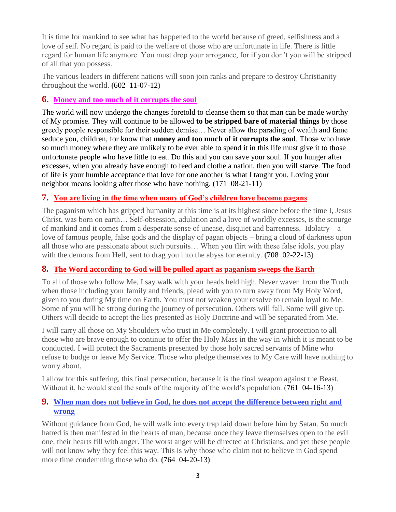It is time for mankind to see what has happened to the world because of greed, selfishness and a love of self. No regard is paid to the welfare of those who are unfortunate in life. There is little regard for human life anymore. You must drop your arrogance, for if you don't you will be stripped of all that you possess.

The various leaders in different nations will soon join ranks and prepare to destroy Christianity throughout the world. **(**602 11-07-12**)**

## **6. [Money and too much of it corrupts the soul](http://www.thewarningsecondcoming.com/money-and-too-much-of-it-corrupts-the-soul/)**

The world will now undergo the changes foretold to cleanse them so that man can be made worthy of My promise. They will continue to be allowed **to be stripped bare of material things** by those greedy people responsible for their sudden demise… Never allow the parading of wealth and fame seduce you, children, for know that **money and too much of it corrupts the soul**. Those who have so much money where they are unlikely to be ever able to spend it in this life must give it to those unfortunate people who have little to eat. Do this and you can save your soul. If you hunger after excesses, when you already have enough to feed and clothe a nation, then you will starve. The food of life is your humble acceptance that love for one another is what I taught you. Loving your neighbor means looking after those who have nothing. (171 08-21-11)

# **7. [You are living in the time when many of God's children have become pagans](http://www.thewarningsecondcoming.com/you-are-living-in-the-time-when-many-of-gods-children-have-become-pagans/)**

The paganism which has gripped humanity at this time is at its highest since before the time I, Jesus Christ, was born on earth… Self-obsession, adulation and a love of worldly excesses, is the scourge of mankind and it comes from a desperate sense of unease, disquiet and barrenness. Idolatry – a love of famous people, false gods and the display of pagan objects – bring a cloud of darkness upon all those who are passionate about such pursuits… When you flirt with these false idols, you play with the demons from Hell, sent to drag you into the abyss for eternity. **(**708 02-22-13**)**

## **8. [The Word according to God will be pulled apart as paganism sweeps the Earth](http://www.thewarningsecondcoming.com/the-word-according-to-god-will-be-pulled-apart-as-paganism-sweeps-the-earth/)**

To all of those who follow Me, I say walk with your heads held high. Never waver from the Truth when those including your family and friends, plead with you to turn away from My Holy Word, given to you during My time on Earth. You must not weaken your resolve to remain loyal to Me. Some of you will be strong during the journey of persecution. Others will fall. Some will give up. Others will decide to accept the lies presented as Holy Doctrine and will be separated from Me.

I will carry all those on My Shoulders who trust in Me completely. I will grant protection to all those who are brave enough to continue to offer the Holy Mass in the way in which it is meant to be conducted. I will protect the Sacraments presented by those holy sacred servants of Mine who refuse to budge or leave My Service. Those who pledge themselves to My Care will have nothing to worry about.

I allow for this suffering, this final persecution, because it is the final weapon against the Beast. Without it, he would steal the souls of the majority of the world's population. (761 04-16-13)

## **9. [When man does not believe in God, he does not accept the difference between right and](http://www.thewarningsecondcoming.com/when-man-does-not-believe-in-god-he-does-not-accept-the-difference-between-right-and-wrong/)  [wrong](http://www.thewarningsecondcoming.com/when-man-does-not-believe-in-god-he-does-not-accept-the-difference-between-right-and-wrong/)**

Without guidance from God, he will walk into every trap laid down before him by Satan. So much hatred is then manifested in the hearts of man, because once they leave themselves open to the evil one, their hearts fill with anger. The worst anger will be directed at Christians, and yet these people will not know why they feel this way. This is why those who claim not to believe in God spend more time condemning those who do. **(**764 04-20-13**)**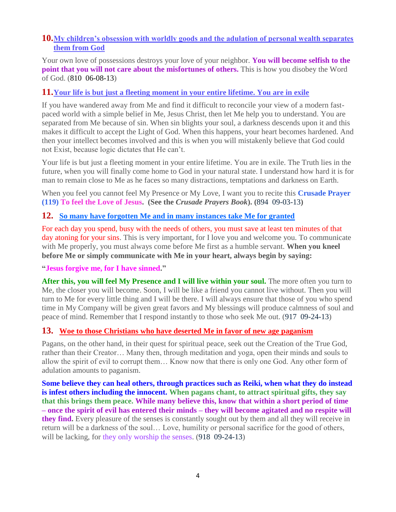## **10.[My children's obsession with worldly goods and the adulation of personal wealth separates](http://www.thewarningsecondcoming.com/my-childrens-obsession-with-worldly-goods-and-the-adulation-of-personal-wealth-separates-them-from-god/)  [them from God](http://www.thewarningsecondcoming.com/my-childrens-obsession-with-worldly-goods-and-the-adulation-of-personal-wealth-separates-them-from-god/)**

Your own love of possessions destroys your love of your neighbor. **You will become selfish to the point that you will not care about the misfortunes of others.** This is how you disobey the Word of God. (810 06-08-13)

#### **11.[Your life is but just a fleeting moment in your entire lifetime. You are in exile](http://www.thewarningsecondcoming.com/your-life-is-but-just-a-fleeting-moment-in-your-entire-lifetime-you-are-in-exile/)**

If you have wandered away from Me and find it difficult to reconcile your view of a modern fastpaced world with a simple belief in Me, Jesus Christ, then let Me help you to understand. You are separated from Me because of sin. When sin blights your soul, a darkness descends upon it and this makes it difficult to accept the Light of God. When this happens, your heart becomes hardened. And then your intellect becomes involved and this is when you will mistakenly believe that God could not Exist, because logic dictates that He can't.

Your life is but just a fleeting moment in your entire lifetime. You are in exile. The Truth lies in the future, when you will finally come home to God in your natural state. I understand how hard it is for man to remain close to Me as he faces so many distractions, temptations and darkness on Earth.

When you feel you cannot feel My Presence or My Love, I want you to recite this **Crusade Prayer (119) To feel the Love of Jesus. (See the** *Crusade Prayers Book***). (**894 09-03-13**)**

## **12. [So many have forgotten Me and in many instances take Me for granted](http://www.thewarningsecondcoming.com/so-many-have-forgotten-me-and-in-many-instances-take-me-for-granted/)**

For each day you spend, busy with the needs of others, you must save at least ten minutes of that day atoning for your sins. This is very important, for I love you and welcome you. To communicate with Me properly, you must always come before Me first as a humble servant. **When you kneel before Me or simply communicate with Me in your heart, always begin by saying:**

#### **"Jesus forgive me, for I have sinned."**

After this, you will feel My Presence and I will live within your soul. The more often you turn to Me, the closer you will become. Soon, I will be like a friend you cannot live without. Then you will turn to Me for every little thing and I will be there. I will always ensure that those of you who spend time in My Company will be given great favors and My blessings will produce calmness of soul and peace of mind. Remember that I respond instantly to those who seek Me out. (917 09-24-13)

#### **13. [Woe to those Christians who have deserted Me in favor of new age paganism](http://www.thewarningsecondcoming.com/woe-to-those-christians-who-have-deserted-me-in-favour-of-new-age-paganism/)**

Pagans, on the other hand, in their quest for spiritual peace, seek out the Creation of the True God, rather than their Creator… Many then, through meditation and yoga, open their minds and souls to allow the spirit of evil to corrupt them… Know now that there is only one God. Any other form of adulation amounts to paganism.

**Some believe they can heal others, through practices such as Reiki, when what they do instead is infest others including the innocent. When pagans chant, to attract spiritual gifts, they say that this brings them peace. While many believe this, know that within a short period of time – once the spirit of evil has entered their minds – they will become agitated and no respite will they find.** Every pleasure of the senses is constantly sought out by them and all they will receive in return will be a darkness of the soul… Love, humility or personal sacrifice for the good of others, will be lacking, for they only worship the senses. (918 09-24-13)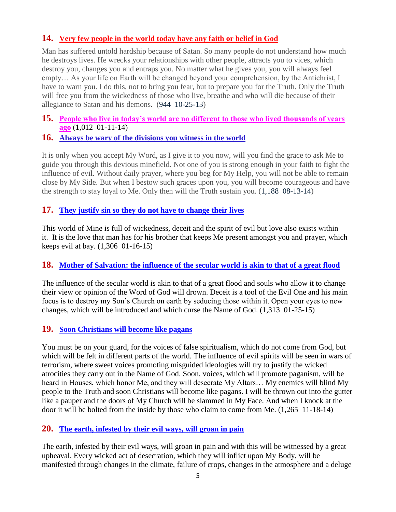## **14. [Very few people in the world today have any faith or belief in God](http://www.thewarningsecondcoming.com/very-few-people-in-the-world-today-have-any-faith-or-belief-in-god/)**

Man has suffered untold hardship because of Satan. So many people do not understand how much he destroys lives. He wrecks your relationships with other people, attracts you to vices, which destroy you, changes you and entraps you. No matter what he gives you, you will always feel empty… As your life on Earth will be changed beyond your comprehension, by the Antichrist, I have to warn you. I do this, not to bring you fear, but to prepare you for the Truth. Only the Truth will free you from the wickedness of those who live, breathe and who will die because of their allegiance to Satan and his demons. (944 10-25-13)

**15. [People who live in today's world are no different to those who lived thousands of years](http://www.thewarningsecondcoming.com/people-who-live-in-todays-world-are-no-different-to-those-who-lived-thousands-of-years-ago/)  [ago](http://www.thewarningsecondcoming.com/people-who-live-in-todays-world-are-no-different-to-those-who-lived-thousands-of-years-ago/)** (1,012 01-11-14)

#### **16. [Always be wary of the divisions you witness in the world](http://www.thewarningsecondcoming.com/always-be-wary-of-the-divisions-you-witness-in-the-world/)**

It is only when you accept My Word, as I give it to you now, will you find the grace to ask Me to guide you through this devious minefield. Not one of you is strong enough in your faith to fight the influence of evil. Without daily prayer, where you beg for My Help, you will not be able to remain close by My Side. But when I bestow such graces upon you, you will become courageous and have the strength to stay loyal to Me. Only then will the Truth sustain you. (1,188 08-13-14)

#### **17. [They justify sin so they do not have to change their lives](http://www.thewarningsecondcoming.com/they-justify-sin-so-they-do-not-have-to-change-their-lives/)**

This world of Mine is full of wickedness, deceit and the spirit of evil but love also exists within it. It is the love that man has for his brother that keeps Me present amongst you and [prayer,](http://www.thewarningsecondcoming.com/they-justify-sin-so-they-do-not-have-to-change-their-lives/) which keeps evil at bay. (1,306 01-16-15)

#### **18. [Mother of Salvation: the influence of the secular world is akin to that of a great flood](http://www.thewarningsecondcoming.com/mother-of-salvation-the-influence-of-the-secular-world-is-akin-to-that-of-a-great-flood/)**

The influence of the secular world is akin to that of a great flood and souls who allow it to change their view or opinion of the Word of God will drown. Deceit is a tool of the Evil One and his main focus is to destroy my Son's Church on earth by seducing those within it. Open your eyes to new changes, which will be introduced and which curse the Name of God. (1,313 01-25-15)

#### **19. [Soon Christians will become like pagans](http://www.thewarningsecondcoming.com/soon-christians-will-become-like-pagans/)**

You must be on your guard, for the voices of false spiritualism, which do not come from God, but which will be felt in different parts of the world. The influence of evil spirits will be seen in wars of terrorism, where sweet voices promoting misguided ideologies will try to justify the wicked atrocities they carry out in the Name of God. Soon, voices, which will promote paganism, will be heard in Houses, which honor Me, and they will desecrate My Altars… My enemies will blind My people to the Truth and soon Christians will become like pagans. I will be thrown out into the gutter like a pauper and the doors of My Church will be slammed in My Face. And when I knock at the door it will be bolted from the inside by those who claim to come from Me. (1,265 11-18-14)

#### **20. [The earth, infested by their evil ways, will groan in pain](http://www.thewarningsecondcoming.com/the-earth-infested-by-their-evil-ways-will-groan-in-pain/)**

The earth, infested by their evil ways, will groan in pain and with this will be witnessed by a great upheaval. Every wicked act of desecration, which they will inflict upon My Body, will be manifested through changes in the climate, failure of crops, changes in the atmosphere and a deluge